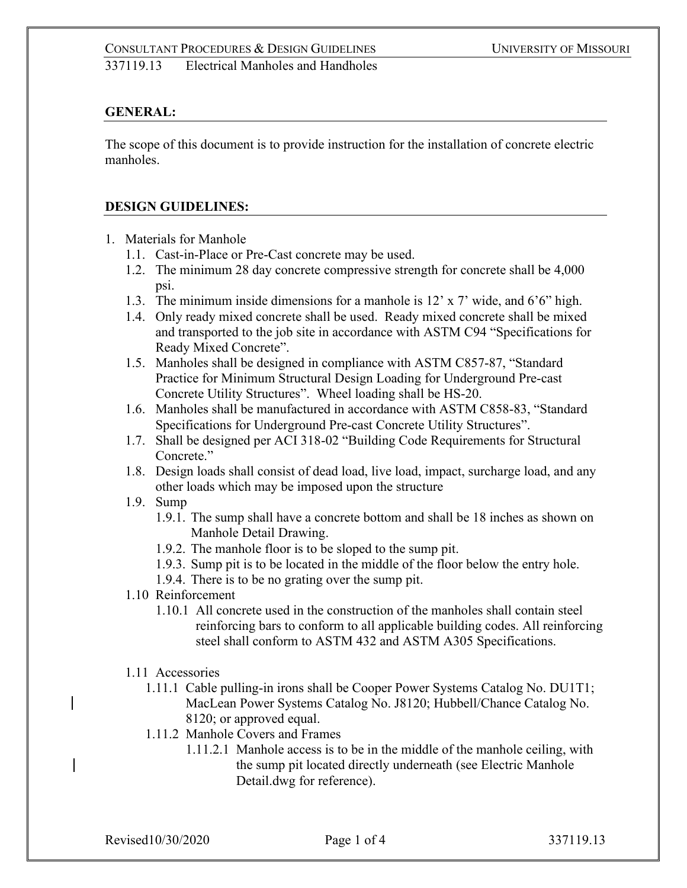#### **GENERAL:**

The scope of this document is to provide instruction for the installation of concrete electric manholes.

#### **DESIGN GUIDELINES:**

- 1. Materials for Manhole
	- 1.1. Cast-in-Place or Pre-Cast concrete may be used.
	- 1.2. The minimum 28 day concrete compressive strength for concrete shall be 4,000 psi.
	- 1.3. The minimum inside dimensions for a manhole is 12' x 7' wide, and 6'6" high.
	- 1.4. Only ready mixed concrete shall be used. Ready mixed concrete shall be mixed and transported to the job site in accordance with ASTM C94 "Specifications for Ready Mixed Concrete".
	- 1.5. Manholes shall be designed in compliance with ASTM C857-87, "Standard Practice for Minimum Structural Design Loading for Underground Pre-cast Concrete Utility Structures". Wheel loading shall be HS-20.
	- 1.6. Manholes shall be manufactured in accordance with ASTM C858-83, "Standard Specifications for Underground Pre-cast Concrete Utility Structures".
	- 1.7. Shall be designed per ACI 318-02 "Building Code Requirements for Structural Concrete."
	- 1.8. Design loads shall consist of dead load, live load, impact, surcharge load, and any other loads which may be imposed upon the structure
	- 1.9. Sump
		- 1.9.1. The sump shall have a concrete bottom and shall be 18 inches as shown on Manhole Detail Drawing.
		- 1.9.2. The manhole floor is to be sloped to the sump pit.
		- 1.9.3. Sump pit is to be located in the middle of the floor below the entry hole.
		- 1.9.4. There is to be no grating over the sump pit.
	- 1.10 Reinforcement
		- 1.10.1 All concrete used in the construction of the manholes shall contain steel reinforcing bars to conform to all applicable building codes. All reinforcing steel shall conform to ASTM 432 and ASTM A305 Specifications.
	- 1.11 Accessories
		- 1.11.1 Cable pulling-in irons shall be Cooper Power Systems Catalog No. DU1T1; MacLean Power Systems Catalog No. J8120; Hubbell/Chance Catalog No. 8120; or approved equal.
		- 1.11.2 Manhole Covers and Frames
			- 1.11.2.1 Manhole access is to be in the middle of the manhole ceiling, with the sump pit located directly underneath (see Electric Manhole Detail.dwg for reference).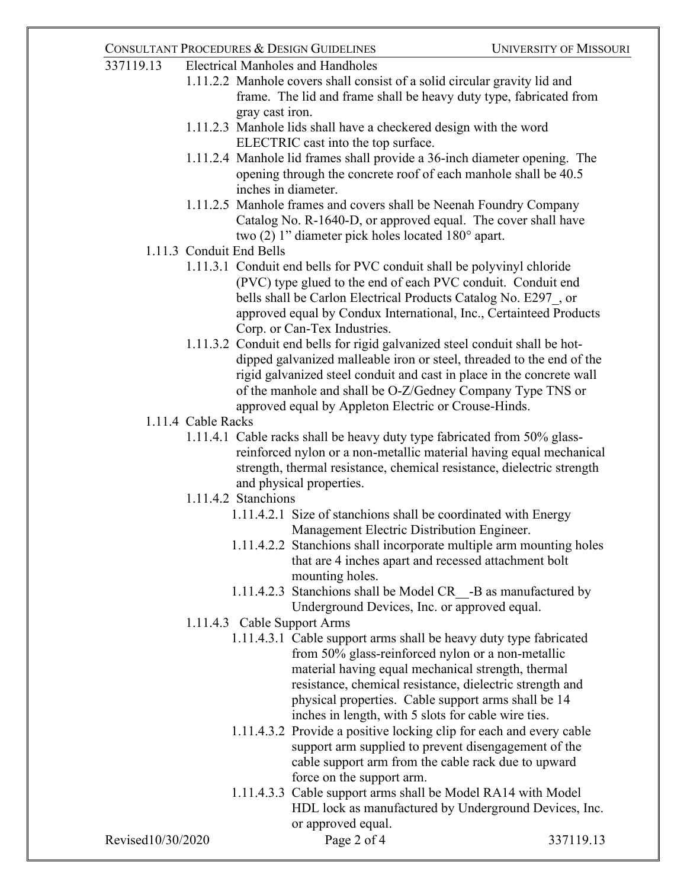| 337119.13         | <b>Electrical Manholes and Handholes</b>                                                                                                      |                                                                                                                                     |                                                                                                                                              |           |  |
|-------------------|-----------------------------------------------------------------------------------------------------------------------------------------------|-------------------------------------------------------------------------------------------------------------------------------------|----------------------------------------------------------------------------------------------------------------------------------------------|-----------|--|
|                   |                                                                                                                                               |                                                                                                                                     | 1.11.2.2 Manhole covers shall consist of a solid circular gravity lid and                                                                    |           |  |
|                   |                                                                                                                                               |                                                                                                                                     | frame. The lid and frame shall be heavy duty type, fabricated from                                                                           |           |  |
|                   |                                                                                                                                               | gray cast iron.                                                                                                                     |                                                                                                                                              |           |  |
|                   |                                                                                                                                               | 1.11.2.3 Manhole lids shall have a checkered design with the word                                                                   |                                                                                                                                              |           |  |
|                   |                                                                                                                                               |                                                                                                                                     | ELECTRIC cast into the top surface.                                                                                                          |           |  |
|                   |                                                                                                                                               |                                                                                                                                     | 1.11.2.4 Manhole lid frames shall provide a 36-inch diameter opening. The<br>opening through the concrete roof of each manhole shall be 40.5 |           |  |
|                   |                                                                                                                                               |                                                                                                                                     |                                                                                                                                              |           |  |
|                   |                                                                                                                                               | inches in diameter.                                                                                                                 |                                                                                                                                              |           |  |
|                   |                                                                                                                                               |                                                                                                                                     | 1.11.2.5 Manhole frames and covers shall be Neenah Foundry Company                                                                           |           |  |
|                   |                                                                                                                                               |                                                                                                                                     | Catalog No. R-1640-D, or approved equal. The cover shall have                                                                                |           |  |
|                   |                                                                                                                                               |                                                                                                                                     | two $(2)$ 1" diameter pick holes located 180 $^{\circ}$ apart.                                                                               |           |  |
|                   |                                                                                                                                               | 1.11.3 Conduit End Bells                                                                                                            |                                                                                                                                              |           |  |
|                   |                                                                                                                                               |                                                                                                                                     | 1.11.3.1 Conduit end bells for PVC conduit shall be polyvinyl chloride                                                                       |           |  |
|                   |                                                                                                                                               |                                                                                                                                     | (PVC) type glued to the end of each PVC conduit. Conduit end                                                                                 |           |  |
|                   | bells shall be Carlon Electrical Products Catalog No. E297 or                                                                                 |                                                                                                                                     |                                                                                                                                              |           |  |
|                   |                                                                                                                                               | approved equal by Condux International, Inc., Certainteed Products                                                                  |                                                                                                                                              |           |  |
|                   |                                                                                                                                               |                                                                                                                                     | Corp. or Can-Tex Industries.                                                                                                                 |           |  |
|                   |                                                                                                                                               |                                                                                                                                     | 1.11.3.2 Conduit end bells for rigid galvanized steel conduit shall be hot-                                                                  |           |  |
|                   | dipped galvanized malleable iron or steel, threaded to the end of the                                                                         |                                                                                                                                     |                                                                                                                                              |           |  |
|                   |                                                                                                                                               | rigid galvanized steel conduit and cast in place in the concrete wall<br>of the manhole and shall be O-Z/Gedney Company Type TNS or |                                                                                                                                              |           |  |
|                   |                                                                                                                                               |                                                                                                                                     |                                                                                                                                              |           |  |
|                   | approved equal by Appleton Electric or Crouse-Hinds.                                                                                          |                                                                                                                                     |                                                                                                                                              |           |  |
|                   | 1.11.4 Cable Racks                                                                                                                            |                                                                                                                                     |                                                                                                                                              |           |  |
|                   | 1.11.4.1 Cable racks shall be heavy duty type fabricated from 50% glass-                                                                      |                                                                                                                                     |                                                                                                                                              |           |  |
|                   | reinforced nylon or a non-metallic material having equal mechanical<br>strength, thermal resistance, chemical resistance, dielectric strength |                                                                                                                                     |                                                                                                                                              |           |  |
|                   |                                                                                                                                               |                                                                                                                                     |                                                                                                                                              |           |  |
|                   | and physical properties.                                                                                                                      |                                                                                                                                     |                                                                                                                                              |           |  |
|                   | 1.11.4.2 Stanchions                                                                                                                           |                                                                                                                                     |                                                                                                                                              |           |  |
|                   |                                                                                                                                               |                                                                                                                                     | 1.11.4.2.1 Size of stanchions shall be coordinated with Energy                                                                               |           |  |
|                   |                                                                                                                                               |                                                                                                                                     | Management Electric Distribution Engineer.                                                                                                   |           |  |
|                   |                                                                                                                                               |                                                                                                                                     | 1.11.4.2.2 Stanchions shall incorporate multiple arm mounting holes                                                                          |           |  |
|                   |                                                                                                                                               |                                                                                                                                     | that are 4 inches apart and recessed attachment bolt                                                                                         |           |  |
|                   |                                                                                                                                               |                                                                                                                                     | mounting holes.                                                                                                                              |           |  |
|                   |                                                                                                                                               |                                                                                                                                     | 1.11.4.2.3 Stanchions shall be Model CR -B as manufactured by                                                                                |           |  |
|                   |                                                                                                                                               |                                                                                                                                     | Underground Devices, Inc. or approved equal.                                                                                                 |           |  |
|                   |                                                                                                                                               |                                                                                                                                     | 1.11.4.3 Cable Support Arms                                                                                                                  |           |  |
|                   |                                                                                                                                               |                                                                                                                                     | 1.11.4.3.1 Cable support arms shall be heavy duty type fabricated                                                                            |           |  |
|                   |                                                                                                                                               |                                                                                                                                     | from 50% glass-reinforced nylon or a non-metallic                                                                                            |           |  |
|                   |                                                                                                                                               |                                                                                                                                     | material having equal mechanical strength, thermal                                                                                           |           |  |
|                   |                                                                                                                                               |                                                                                                                                     | resistance, chemical resistance, dielectric strength and                                                                                     |           |  |
|                   |                                                                                                                                               |                                                                                                                                     | physical properties. Cable support arms shall be 14                                                                                          |           |  |
|                   |                                                                                                                                               |                                                                                                                                     | inches in length, with 5 slots for cable wire ties.                                                                                          |           |  |
|                   |                                                                                                                                               |                                                                                                                                     | 1.11.4.3.2 Provide a positive locking clip for each and every cable                                                                          |           |  |
|                   |                                                                                                                                               |                                                                                                                                     | support arm supplied to prevent disengagement of the                                                                                         |           |  |
|                   |                                                                                                                                               |                                                                                                                                     | cable support arm from the cable rack due to upward                                                                                          |           |  |
|                   |                                                                                                                                               |                                                                                                                                     | force on the support arm.                                                                                                                    |           |  |
|                   |                                                                                                                                               |                                                                                                                                     | 1.11.4.3.3 Cable support arms shall be Model RA14 with Model                                                                                 |           |  |
|                   |                                                                                                                                               |                                                                                                                                     | HDL lock as manufactured by Underground Devices, Inc.                                                                                        |           |  |
|                   |                                                                                                                                               |                                                                                                                                     | or approved equal.                                                                                                                           |           |  |
| Revised10/30/2020 |                                                                                                                                               |                                                                                                                                     | Page 2 of 4                                                                                                                                  | 337119.13 |  |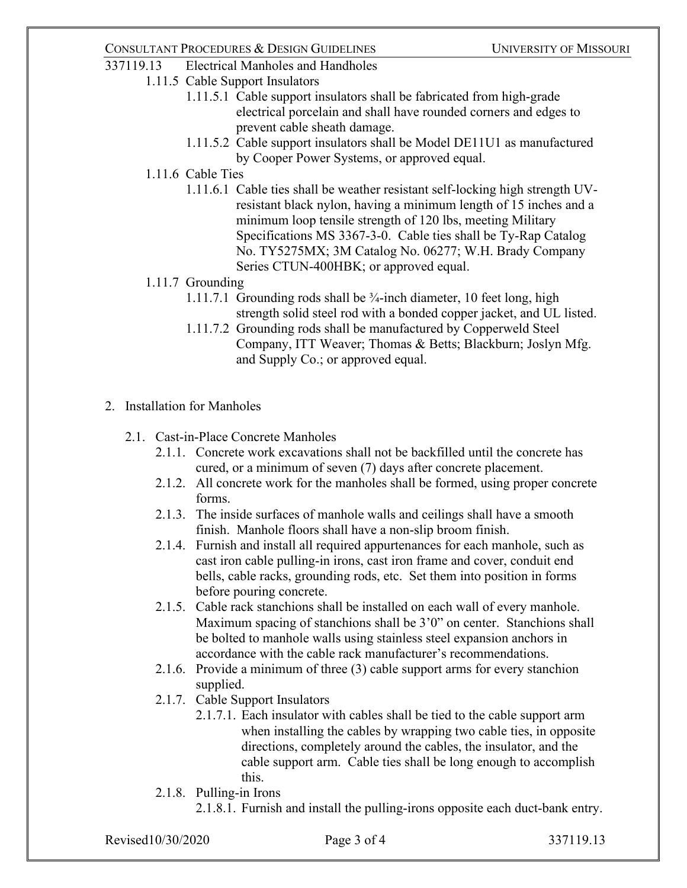#### 337119.13 Electrical Manholes and Handholes

- 1.11.5 Cable Support Insulators
	- 1.11.5.1 Cable support insulators shall be fabricated from high-grade electrical porcelain and shall have rounded corners and edges to prevent cable sheath damage.
	- 1.11.5.2 Cable support insulators shall be Model DE11U1 as manufactured by Cooper Power Systems, or approved equal.
- 1.11.6 Cable Ties
	- 1.11.6.1 Cable ties shall be weather resistant self-locking high strength UVresistant black nylon, having a minimum length of 15 inches and a minimum loop tensile strength of 120 lbs, meeting Military Specifications MS 3367-3-0. Cable ties shall be Ty-Rap Catalog No. TY5275MX; 3M Catalog No. 06277; W.H. Brady Company Series CTUN-400HBK; or approved equal.

#### 1.11.7 Grounding

- 1.11.7.1 Grounding rods shall be  $\frac{3}{4}$ -inch diameter, 10 feet long, high strength solid steel rod with a bonded copper jacket, and UL listed.
- 1.11.7.2 Grounding rods shall be manufactured by Copperweld Steel Company, ITT Weaver; Thomas & Betts; Blackburn; Joslyn Mfg. and Supply Co.; or approved equal.
- 2. Installation for Manholes
	- 2.1. Cast-in-Place Concrete Manholes
		- 2.1.1. Concrete work excavations shall not be backfilled until the concrete has cured, or a minimum of seven (7) days after concrete placement.
		- 2.1.2. All concrete work for the manholes shall be formed, using proper concrete forms.
		- 2.1.3. The inside surfaces of manhole walls and ceilings shall have a smooth finish. Manhole floors shall have a non-slip broom finish.
		- 2.1.4. Furnish and install all required appurtenances for each manhole, such as cast iron cable pulling-in irons, cast iron frame and cover, conduit end bells, cable racks, grounding rods, etc. Set them into position in forms before pouring concrete.
		- 2.1.5. Cable rack stanchions shall be installed on each wall of every manhole. Maximum spacing of stanchions shall be 3'0" on center. Stanchions shall be bolted to manhole walls using stainless steel expansion anchors in accordance with the cable rack manufacturer's recommendations.
		- 2.1.6. Provide a minimum of three (3) cable support arms for every stanchion supplied.
		- 2.1.7. Cable Support Insulators
			- 2.1.7.1. Each insulator with cables shall be tied to the cable support arm when installing the cables by wrapping two cable ties, in opposite directions, completely around the cables, the insulator, and the cable support arm. Cable ties shall be long enough to accomplish this.
		- 2.1.8. Pulling-in Irons
			- 2.1.8.1. Furnish and install the pulling-irons opposite each duct-bank entry.

Revised10/30/2020 **Page 3 of 4** 337119.13